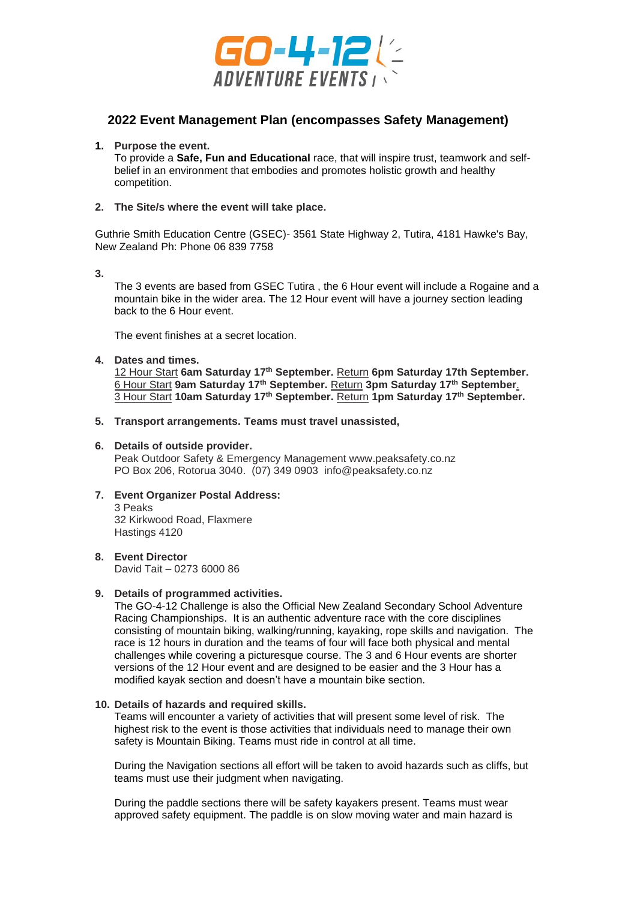

# **2022 Event Management Plan (encompasses Safety Management)**

# **1. Purpose the event.**

To provide a **Safe, Fun and Educational** race, that will inspire trust, teamwork and selfbelief in an environment that embodies and promotes holistic growth and healthy competition.

### **2. The Site/s where the event will take place.**

Guthrie Smith Education Centre (GSEC)- 3561 State Highway 2, Tutira, 4181 Hawke's Bay, New Zealand Ph: Phone 06 839 7758

**3.**

The 3 events are based from GSEC Tutira , the 6 Hour event will include a Rogaine and a mountain bike in the wider area. The 12 Hour event will have a journey section leading back to the 6 Hour event.

The event finishes at a secret location.

**4. Dates and times.**

12 Hour Start **6am Saturday 17th September.** Return **6pm Saturday 17th September.** 6 Hour Start **9am Saturday 17th September.** Return **3pm Saturday 17th September**. 3 Hour Start **10am Saturday 17th September.** Return **1pm Saturday 17th September.**

**5. Transport arrangements. Teams must travel unassisted,** 

# **6. Details of outside provider.**

Peak Outdoor Safety & Emergency Management www.peaksafety.co.nz PO Box 206, Rotorua 3040. (07) 349 0903 [info@peaksafety.co.nz](mailto:info@peaksafety.co.nz)

# **7. Event Organizer Postal Address:**

3 Peaks 32 Kirkwood Road, Flaxmere Hastings 4120

# **8. Event Director**

David Tait – 0273 6000 86

# **9. Details of programmed activities.**

The GO-4-12 Challenge is also the Official New Zealand Secondary School Adventure Racing Championships. It is an authentic adventure race with the core disciplines consisting of mountain biking, walking/running, kayaking, rope skills and navigation. The race is 12 hours in duration and the teams of four will face both physical and mental challenges while covering a picturesque course. The 3 and 6 Hour events are shorter versions of the 12 Hour event and are designed to be easier and the 3 Hour has a modified kayak section and doesn't have a mountain bike section.

#### **10. Details of hazards and required skills.**

Teams will encounter a variety of activities that will present some level of risk. The highest risk to the event is those activities that individuals need to manage their own safety is Mountain Biking. Teams must ride in control at all time.

During the Navigation sections all effort will be taken to avoid hazards such as cliffs, but teams must use their judgment when navigating.

During the paddle sections there will be safety kayakers present. Teams must wear approved safety equipment. The paddle is on slow moving water and main hazard is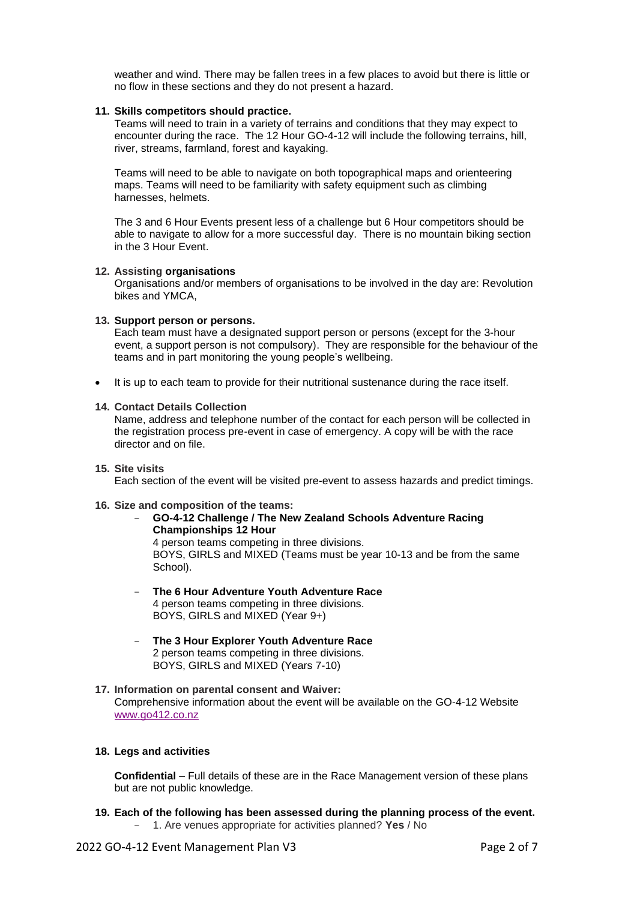weather and wind. There may be fallen trees in a few places to avoid but there is little or no flow in these sections and they do not present a hazard.

## **11. Skills competitors should practice.**

Teams will need to train in a variety of terrains and conditions that they may expect to encounter during the race. The 12 Hour GO-4-12 will include the following terrains, hill, river, streams, farmland, forest and kayaking.

Teams will need to be able to navigate on both topographical maps and orienteering maps. Teams will need to be familiarity with safety equipment such as climbing harnesses, helmets.

The 3 and 6 Hour Events present less of a challenge but 6 Hour competitors should be able to navigate to allow for a more successful day. There is no mountain biking section in the 3 Hour Event.

#### **12. Assisting organisations**

Organisations and/or members of organisations to be involved in the day are: Revolution bikes and YMCA,

# **13. Support person or persons.**

Each team must have a designated support person or persons (except for the 3-hour event, a support person is not compulsory). They are responsible for the behaviour of the teams and in part monitoring the young people's wellbeing.

• It is up to each team to provide for their nutritional sustenance during the race itself.

#### **14. Contact Details Collection**

Name, address and telephone number of the contact for each person will be collected in the registration process pre-event in case of emergency. A copy will be with the race director and on file.

# **15. Site visits**

Each section of the event will be visited pre-event to assess hazards and predict timings.

# **16. Size and composition of the teams:**

- **GO-4-12 Challenge / The New Zealand Schools Adventure Racing Championships 12 Hour** 4 person teams competing in three divisions. BOYS, GIRLS and MIXED (Teams must be year 10-13 and be from the same School).
- **The 6 Hour Adventure Youth Adventure Race** 4 person teams competing in three divisions. BOYS, GIRLS and MIXED (Year 9+)
- **The 3 Hour Explorer Youth Adventure Race** 2 person teams competing in three divisions. BOYS, GIRLS and MIXED (Years 7-10)
- **17. Information on parental consent and Waiver:** Comprehensive information about the event will be available on the GO-4-12 Website [www.go412.co.nz](http://www.go412.co.nz/)

#### **18. Legs and activities**

**Confidential** – Full details of these are in the Race Management version of these plans but are not public knowledge.

**19. Each of the following has been assessed during the planning process of the event.**  - 1. Are venues appropriate for activities planned? **Yes** / No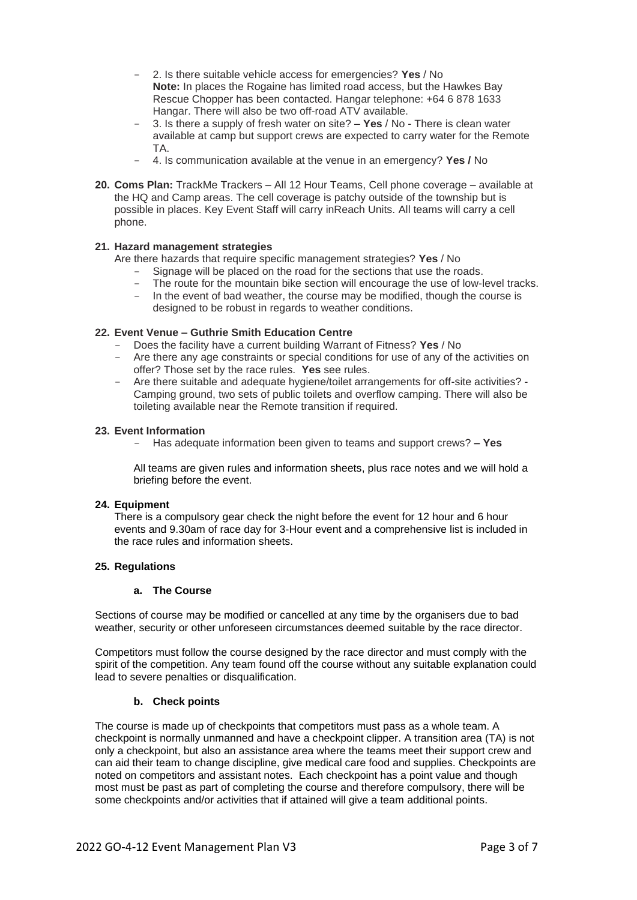- 2. Is there suitable vehicle access for emergencies? **Yes** / No **Note:** In places the Rogaine has limited road access, but the Hawkes Bay Rescue Chopper has been contacted. Hangar telephone: +64 6 878 1633 Hangar. There will also be two off-road ATV available.
- 3. Is there a supply of fresh water on site? **Yes** / No There is clean water available at camp but support crews are expected to carry water for the Remote TA.
- 4. Is communication available at the venue in an emergency? **Yes /** No
- **20. Coms Plan:** TrackMe Trackers All 12 Hour Teams, Cell phone coverage available at the HQ and Camp areas. The cell coverage is patchy outside of the township but is possible in places. Key Event Staff will carry inReach Units. All teams will carry a cell phone.

# **21. Hazard management strategies**

Are there hazards that require specific management strategies? **Yes** / No

- Signage will be placed on the road for the sections that use the roads.
- The route for the mountain bike section will encourage the use of low-level tracks.
- In the event of bad weather, the course may be modified, though the course is designed to be robust in regards to weather conditions.

# **22. Event Venue – Guthrie Smith Education Centre**

- Does the facility have a current building Warrant of Fitness? **Yes** / No
- Are there any age constraints or special conditions for use of any of the activities on offer? Those set by the race rules. **Yes** see rules.
- Are there suitable and adequate hygiene/toilet arrangements for off-site activities? Camping ground, two sets of public toilets and overflow camping. There will also be toileting available near the Remote transition if required.

# **23. Event Information**

- Has adequate information been given to teams and support crews? **– Yes**

All teams are given rules and information sheets, plus race notes and we will hold a briefing before the event.

# **24. Equipment**

There is a compulsory gear check the night before the event for 12 hour and 6 hour events and 9.30am of race day for 3-Hour event and a comprehensive list is included in the race rules and information sheets.

# **25. Regulations**

#### **a. The Course**

Sections of course may be modified or cancelled at any time by the organisers due to bad weather, security or other unforeseen circumstances deemed suitable by the race director.

Competitors must follow the course designed by the race director and must comply with the spirit of the competition. Any team found off the course without any suitable explanation could lead to severe penalties or disqualification.

# **b. Check points**

The course is made up of checkpoints that competitors must pass as a whole team. A checkpoint is normally unmanned and have a checkpoint clipper. A transition area (TA) is not only a checkpoint, but also an assistance area where the teams meet their support crew and can aid their team to change discipline, give medical care food and supplies. Checkpoints are noted on competitors and assistant notes. Each checkpoint has a point value and though most must be past as part of completing the course and therefore compulsory, there will be some checkpoints and/or activities that if attained will give a team additional points.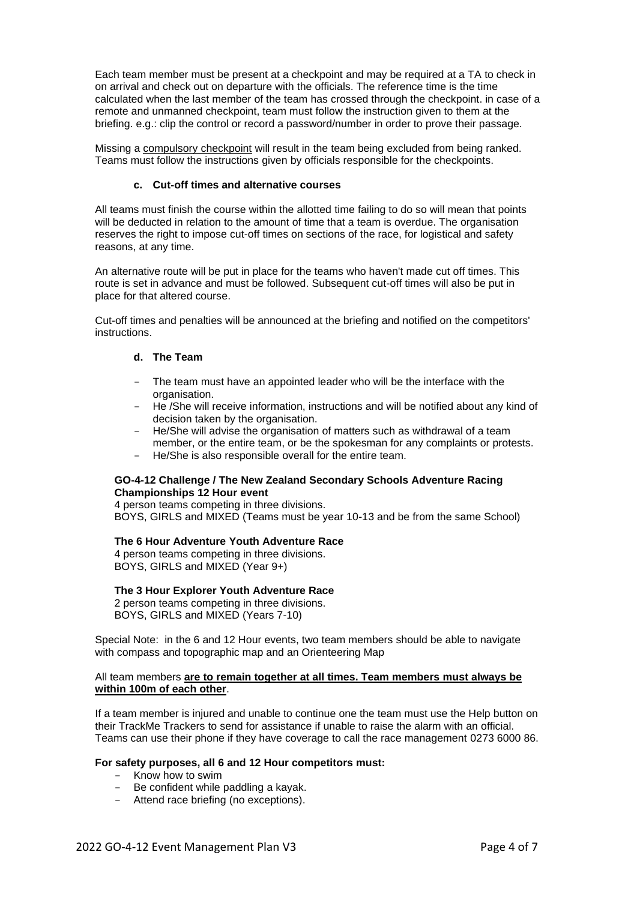Each team member must be present at a checkpoint and may be required at a TA to check in on arrival and check out on departure with the officials. The reference time is the time calculated when the last member of the team has crossed through the checkpoint. in case of a remote and unmanned checkpoint, team must follow the instruction given to them at the briefing. e.g.: clip the control or record a password/number in order to prove their passage.

Missing a compulsory checkpoint will result in the team being excluded from being ranked. Teams must follow the instructions given by officials responsible for the checkpoints.

# **c. Cut-off times and alternative courses**

All teams must finish the course within the allotted time failing to do so will mean that points will be deducted in relation to the amount of time that a team is overdue. The organisation reserves the right to impose cut-off times on sections of the race, for logistical and safety reasons, at any time.

An alternative route will be put in place for the teams who haven't made cut off times. This route is set in advance and must be followed. Subsequent cut-off times will also be put in place for that altered course.

Cut-off times and penalties will be announced at the briefing and notified on the competitors' instructions.

# **d. The Team**

- The team must have an appointed leader who will be the interface with the organisation.
- He /She will receive information, instructions and will be notified about any kind of decision taken by the organisation.
- He/She will advise the organisation of matters such as withdrawal of a team member, or the entire team, or be the spokesman for any complaints or protests.
- He/She is also responsible overall for the entire team.

# **GO-4-12 Challenge / The New Zealand Secondary Schools Adventure Racing Championships 12 Hour event**

4 person teams competing in three divisions. BOYS, GIRLS and MIXED (Teams must be year 10-13 and be from the same School)

# **The 6 Hour Adventure Youth Adventure Race**

4 person teams competing in three divisions. BOYS, GIRLS and MIXED (Year 9+)

#### **The 3 Hour Explorer Youth Adventure Race**

2 person teams competing in three divisions. BOYS, GIRLS and MIXED (Years 7-10)

Special Note: in the 6 and 12 Hour events, two team members should be able to navigate with compass and topographic map and an Orienteering Map

### All team members **are to remain together at all times. Team members must always be within 100m of each other**.

If a team member is injured and unable to continue one the team must use the Help button on their TrackMe Trackers to send for assistance if unable to raise the alarm with an official. Teams can use their phone if they have coverage to call the race management 0273 6000 86.

#### **For safety purposes, all 6 and 12 Hour competitors must:**

- Know how to swim
- Be confident while paddling a kayak.
- Attend race briefing (no exceptions).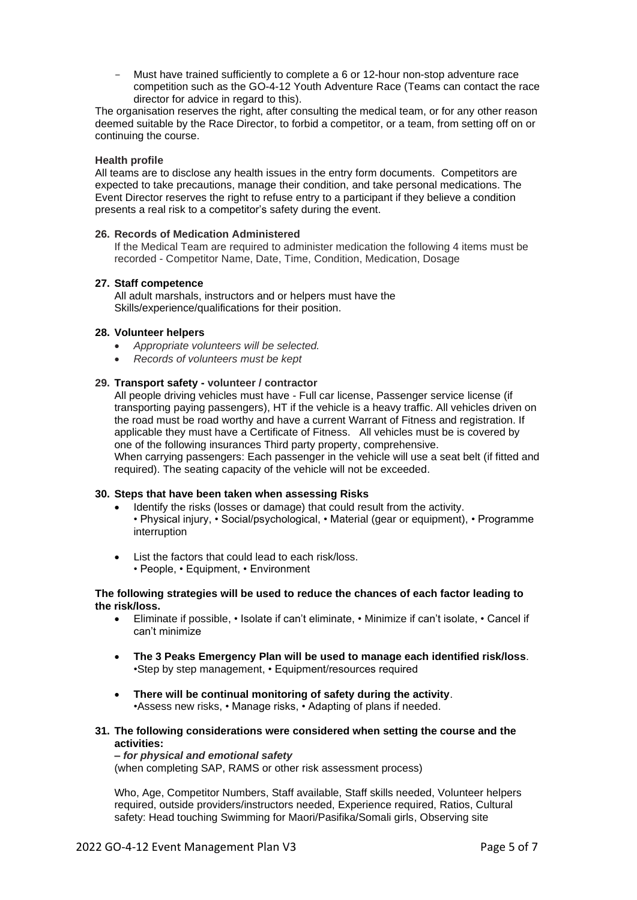Must have trained sufficiently to complete a 6 or 12-hour non-stop adventure race competition such as the GO-4-12 Youth Adventure Race (Teams can contact the race director for advice in regard to this).

The organisation reserves the right, after consulting the medical team, or for any other reason deemed suitable by the Race Director, to forbid a competitor, or a team, from setting off on or continuing the course.

#### **Health profile**

All teams are to disclose any health issues in the entry form documents. Competitors are expected to take precautions, manage their condition, and take personal medications. The Event Director reserves the right to refuse entry to a participant if they believe a condition presents a real risk to a competitor's safety during the event.

#### **26. Records of Medication Administered**

If the Medical Team are required to administer medication the following 4 items must be recorded - Competitor Name, Date, Time, Condition, Medication, Dosage

# **27. Staff competence**

All adult marshals, instructors and or helpers must have the Skills/experience/qualifications for their position.

# **28. Volunteer helpers**

- *Appropriate volunteers will be selected.*
- *Records of volunteers must be kept*

# **29. Transport safety - volunteer / contractor**

All people driving vehicles must have - Full car license, Passenger service license (if transporting paying passengers), HT if the vehicle is a heavy traffic. All vehicles driven on the road must be road worthy and have a current Warrant of Fitness and registration. If applicable they must have a Certificate of Fitness. All vehicles must be is covered by one of the following insurances Third party property, comprehensive. When carrying passengers: Each passenger in the vehicle will use a seat belt (if fitted and required). The seating capacity of the vehicle will not be exceeded.

# **30. Steps that have been taken when assessing Risks**

- Identify the risks (losses or damage) that could result from the activity. • Physical injury, • Social/psychological, • Material (gear or equipment), • Programme interruption
- List the factors that could lead to each risk/loss. • People, • Equipment, • Environment

#### **The following strategies will be used to reduce the chances of each factor leading to the risk/loss.**

- Eliminate if possible, Isolate if can't eliminate, Minimize if can't isolate, Cancel if can't minimize
- **The 3 Peaks Emergency Plan will be used to manage each identified risk/loss**. •Step by step management, • Equipment/resources required
- **There will be continual monitoring of safety during the activity**. •Assess new risks, • Manage risks, • Adapting of plans if needed.
- **31. The following considerations were considered when setting the course and the activities:**

#### *– for physical and emotional safety*

(when completing SAP, RAMS or other risk assessment process)

Who, Age, Competitor Numbers, Staff available, Staff skills needed, Volunteer helpers required, outside providers/instructors needed, Experience required, Ratios, Cultural safety: Head touching Swimming for Maori/Pasifika/Somali girls, Observing site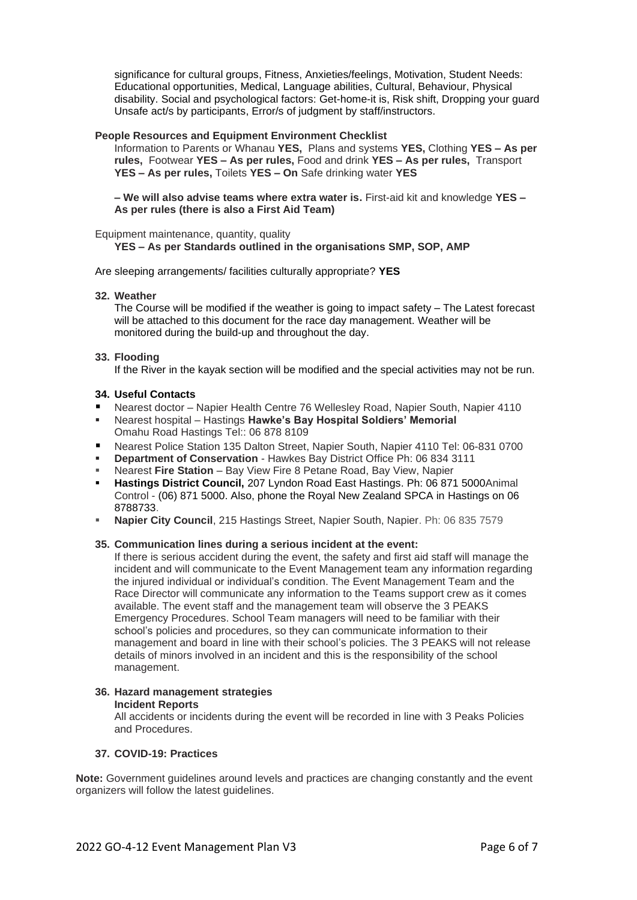significance for cultural groups, Fitness, Anxieties/feelings, Motivation, Student Needs: Educational opportunities, Medical, Language abilities, Cultural, Behaviour, Physical disability. Social and psychological factors: Get-home-it is, Risk shift, Dropping your guard Unsafe act/s by participants, Error/s of judgment by staff/instructors.

#### **People Resources and Equipment Environment Checklist**

Information to Parents or Whanau **YES,** Plans and systems **YES,** Clothing **YES – As per rules,** Footwear **YES – As per rules,** Food and drink **YES – As per rules,** Transport **YES – As per rules,** Toilets **YES – On** Safe drinking water **YES**

**– We will also advise teams where extra water is.** First-aid kit and knowledge **YES – As per rules (there is also a First Aid Team)**

Equipment maintenance, quantity, quality

**YES – As per Standards outlined in the organisations SMP, SOP, AMP**

Are sleeping arrangements/ facilities culturally appropriate? **YES** 

#### **32. Weather**

The Course will be modified if the weather is going to impact safety – The Latest forecast will be attached to this document for the race day management. Weather will be monitored during the build-up and throughout the day.

#### **33. Flooding**

If the River in the kayak section will be modified and the special activities may not be run.

### **34. Useful Contacts**

- Nearest doctor Napier Health Centre 76 Wellesley Road, Napier South, Napier 4110
- Nearest hospital Hastings **Hawke's Bay Hospital Soldiers' Memorial** Omahu Road Hastings Tel:: 06 878 8109
- Nearest Police Station 135 Dalton Street, Napier South, Napier 4110 Tel: [06-831 0700](https://www.google.com/search?q=napier+police&client=firefox-b-d&tbm=lcl&sxsrf=AOaemvKoD7HxCURLMe-IHBYmAopUL-9zwg%3A1635050642026&ei=kuR0YdWEAfqG4-EPu-CFgA0&oq=napier+police&gs_l=psy-ab.3..0i512k1l2j0i512i457k1j0i512k1l4j0i512i263i20k1j0i512k1l2.58191.61417.0.62343.13.11.0.2.2.0.248.1687.0j3j5.8.0....0...1c.1.64.psy-ab..3.10.1694...35i39k1j0i67k1j0i433i131i67k1j0i433i67k1j0i512i433i131k1j0i273k1.0.OAkKFcB-rKM)
- **Department of Conservation** Hawkes Bay District Office Ph: 06 834 3111
- **Nearest Fire Station** Bay View Fire 8 Petane Road, Bay View, Napier
- **Hastings District Council,** 207 Lyndon Road East Hastings. Ph: 06 871 5000Animal Control - (06) 871 5000. Also, phone the Royal New Zealand SPCA in Hastings on 06 8788733.
- **Napier City Council**, 215 Hastings Street, Napier South, Napier. Ph: 06 835 7579

#### **35. Communication lines during a serious incident at the event:**

If there is serious accident during the event, the safety and first aid staff will manage the incident and will communicate to the Event Management team any information regarding the injured individual or individual's condition. The Event Management Team and the Race Director will communicate any information to the Teams support crew as it comes available. The event staff and the management team will observe the 3 PEAKS Emergency Procedures. School Team managers will need to be familiar with their school's policies and procedures, so they can communicate information to their management and board in line with their school's policies. The 3 PEAKS will not release details of minors involved in an incident and this is the responsibility of the school management.

#### **36. Hazard management strategies Incident Reports**

All accidents or incidents during the event will be recorded in line with 3 Peaks Policies and Procedures.

# **37. COVID-19: Practices**

**Note:** Government guidelines around levels and practices are changing constantly and the event organizers will follow the latest guidelines.